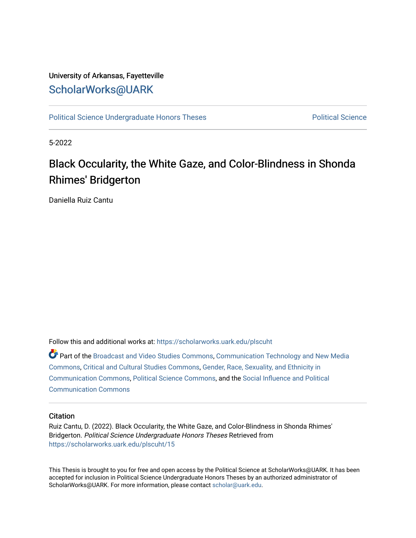### University of Arkansas, Fayetteville [ScholarWorks@UARK](https://scholarworks.uark.edu/)

[Political Science Undergraduate Honors Theses](https://scholarworks.uark.edu/plscuht) **Political Science** Political Science

5-2022

# Black Occularity, the White Gaze, and Color-Blindness in Shonda Rhimes' Bridgerton

Daniella Ruiz Cantu

Follow this and additional works at: [https://scholarworks.uark.edu/plscuht](https://scholarworks.uark.edu/plscuht?utm_source=scholarworks.uark.edu%2Fplscuht%2F15&utm_medium=PDF&utm_campaign=PDFCoverPages) 

Part of the [Broadcast and Video Studies Commons,](http://network.bepress.com/hgg/discipline/326?utm_source=scholarworks.uark.edu%2Fplscuht%2F15&utm_medium=PDF&utm_campaign=PDFCoverPages) [Communication Technology and New Media](http://network.bepress.com/hgg/discipline/327?utm_source=scholarworks.uark.edu%2Fplscuht%2F15&utm_medium=PDF&utm_campaign=PDFCoverPages) [Commons](http://network.bepress.com/hgg/discipline/327?utm_source=scholarworks.uark.edu%2Fplscuht%2F15&utm_medium=PDF&utm_campaign=PDFCoverPages), [Critical and Cultural Studies Commons,](http://network.bepress.com/hgg/discipline/328?utm_source=scholarworks.uark.edu%2Fplscuht%2F15&utm_medium=PDF&utm_campaign=PDFCoverPages) [Gender, Race, Sexuality, and Ethnicity in](http://network.bepress.com/hgg/discipline/329?utm_source=scholarworks.uark.edu%2Fplscuht%2F15&utm_medium=PDF&utm_campaign=PDFCoverPages)  [Communication Commons](http://network.bepress.com/hgg/discipline/329?utm_source=scholarworks.uark.edu%2Fplscuht%2F15&utm_medium=PDF&utm_campaign=PDFCoverPages), [Political Science Commons](http://network.bepress.com/hgg/discipline/386?utm_source=scholarworks.uark.edu%2Fplscuht%2F15&utm_medium=PDF&utm_campaign=PDFCoverPages), and the [Social Influence and Political](http://network.bepress.com/hgg/discipline/337?utm_source=scholarworks.uark.edu%2Fplscuht%2F15&utm_medium=PDF&utm_campaign=PDFCoverPages)  [Communication Commons](http://network.bepress.com/hgg/discipline/337?utm_source=scholarworks.uark.edu%2Fplscuht%2F15&utm_medium=PDF&utm_campaign=PDFCoverPages)

#### **Citation**

Ruiz Cantu, D. (2022). Black Occularity, the White Gaze, and Color-Blindness in Shonda Rhimes' Bridgerton. Political Science Undergraduate Honors Theses Retrieved from [https://scholarworks.uark.edu/plscuht/15](https://scholarworks.uark.edu/plscuht/15?utm_source=scholarworks.uark.edu%2Fplscuht%2F15&utm_medium=PDF&utm_campaign=PDFCoverPages)

This Thesis is brought to you for free and open access by the Political Science at ScholarWorks@UARK. It has been accepted for inclusion in Political Science Undergraduate Honors Theses by an authorized administrator of ScholarWorks@UARK. For more information, please contact [scholar@uark.edu](mailto:scholar@uark.edu).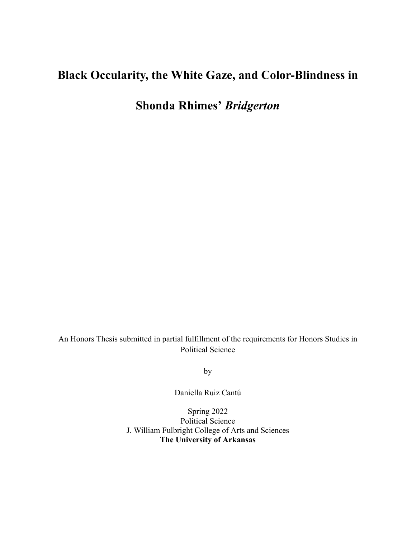## **Black Occularity, the White Gaze, and Color-Blindness in**

**Shonda Rhimes'** *Bridgerton*

An Honors Thesis submitted in partial fulfillment of the requirements for Honors Studies in Political Science

by

Daniella Ruiz Cantú

Spring 2022 Political Science J. William Fulbright College of Arts and Sciences **The University of Arkansas**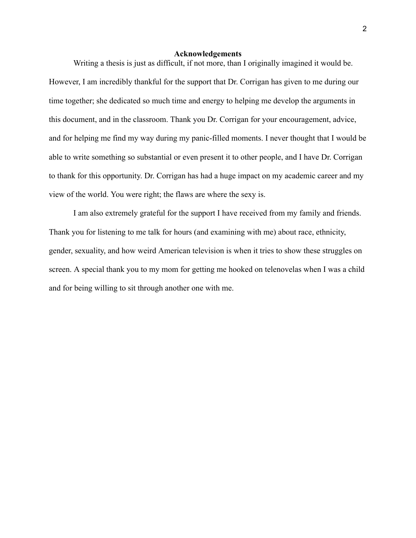#### **Acknowledgements**

Writing a thesis is just as difficult, if not more, than I originally imagined it would be. However, I am incredibly thankful for the support that Dr. Corrigan has given to me during our time together; she dedicated so much time and energy to helping me develop the arguments in this document, and in the classroom. Thank you Dr. Corrigan for your encouragement, advice, and for helping me find my way during my panic-filled moments. I never thought that I would be able to write something so substantial or even present it to other people, and I have Dr. Corrigan to thank for this opportunity. Dr. Corrigan has had a huge impact on my academic career and my view of the world. You were right; the flaws are where the sexy is.

I am also extremely grateful for the support I have received from my family and friends. Thank you for listening to me talk for hours (and examining with me) about race, ethnicity, gender, sexuality, and how weird American television is when it tries to show these struggles on screen. A special thank you to my mom for getting me hooked on telenovelas when I was a child and for being willing to sit through another one with me.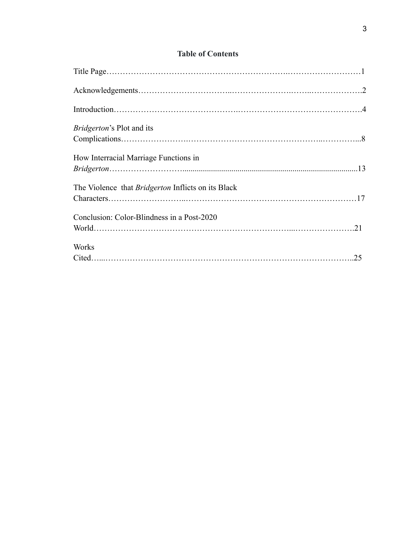### **Table of Contents**

| <i>Bridgerton's</i> Plot and its                          |  |
|-----------------------------------------------------------|--|
| How Interracial Marriage Functions in                     |  |
| The Violence that <i>Bridgerton</i> Inflicts on its Black |  |
| Conclusion: Color-Blindness in a Post-2020                |  |
| Works                                                     |  |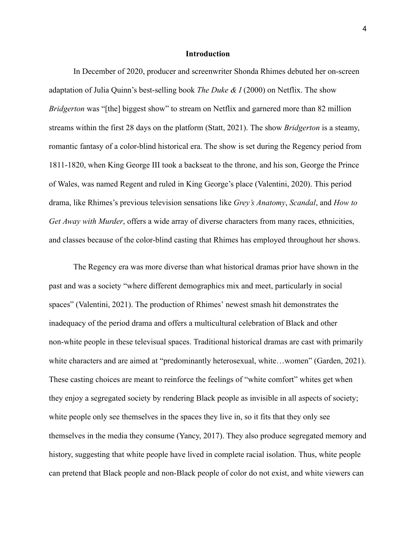#### **Introduction**

In December of 2020, producer and screenwriter Shonda Rhimes debuted her on-screen adaptation of Julia Quinn's best-selling book *The Duke & I* (2000) on Netflix. The show *Bridgerton* was "[the] biggest show" to stream on Netflix and garnered more than 82 million streams within the first 28 days on the platform (Statt, 2021). The show *Bridgerton* is a steamy, romantic fantasy of a color-blind historical era. The show is set during the Regency period from 1811-1820, when King George III took a backseat to the throne, and his son, George the Prince of Wales, was named Regent and ruled in King George's place (Valentini, 2020). This period drama, like Rhimes's previous television sensations like *Grey's Anatomy*, *Scandal*, and *How to Get Away with Murder*, offers a wide array of diverse characters from many races, ethnicities, and classes because of the color-blind casting that Rhimes has employed throughout her shows.

The Regency era was more diverse than what historical dramas prior have shown in the past and was a society "where different demographics mix and meet, particularly in social spaces" (Valentini, 2021). The production of Rhimes' newest smash hit demonstrates the inadequacy of the period drama and offers a multicultural celebration of Black and other non-white people in these televisual spaces. Traditional historical dramas are cast with primarily white characters and are aimed at "predominantly heterosexual, white...women" (Garden, 2021). These casting choices are meant to reinforce the feelings of "white comfort" whites get when they enjoy a segregated society by rendering Black people as invisible in all aspects of society; white people only see themselves in the spaces they live in, so it fits that they only see themselves in the media they consume (Yancy, 2017). They also produce segregated memory and history, suggesting that white people have lived in complete racial isolation. Thus, white people can pretend that Black people and non-Black people of color do not exist, and white viewers can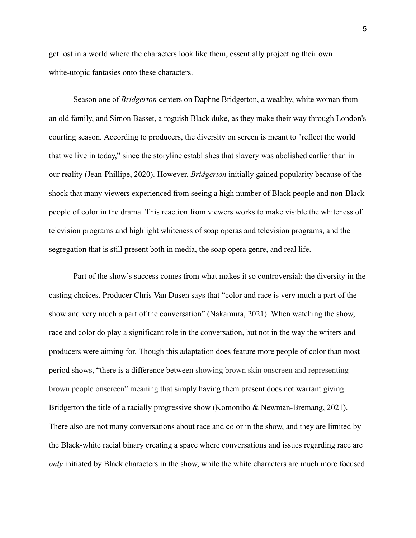get lost in a world where the characters look like them, essentially projecting their own white-utopic fantasies onto these characters.

Season one of *Bridgerton* centers on Daphne Bridgerton, a wealthy, white woman from an old family, and Simon Basset, a roguish Black duke, as they make their way through London's courting season. According to producers, the diversity on screen is meant to "reflect the world that we live in today," since the storyline establishes that slavery was abolished earlier than in our reality (Jean-Phillipe, 2020). However, *Bridgerton* initially gained popularity because of the shock that many viewers experienced from seeing a high number of Black people and non-Black people of color in the drama. This reaction from viewers works to make visible the whiteness of television programs and highlight whiteness of soap operas and television programs, and the segregation that is still present both in media, the soap opera genre, and real life.

Part of the show's success comes from what makes it so controversial: the diversity in the casting choices. Producer Chris Van Dusen says that "color and race is very much a part of the show and very much a part of the conversation" (Nakamura, 2021). When watching the show, race and color do play a significant role in the conversation, but not in the way the writers and producers were aiming for. Though this adaptation does feature more people of color than most period shows, "there is a difference between showing brown skin onscreen and representing brown people onscreen" meaning that simply having them present does not warrant giving Bridgerton the title of a racially progressive show (Komonibo & Newman-Bremang, 2021). There also are not many conversations about race and color in the show, and they are limited by the Black-white racial binary creating a space where conversations and issues regarding race are *only* initiated by Black characters in the show, while the white characters are much more focused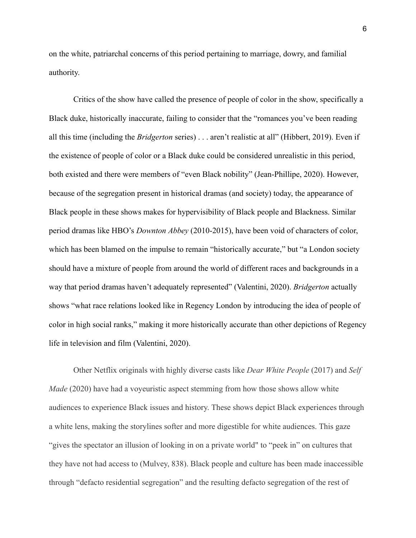on the white, patriarchal concerns of this period pertaining to marriage, dowry, and familial authority.

Critics of the show have called the presence of people of color in the show, specifically a Black duke, historically inaccurate, failing to consider that the "romances you've been reading all this time (including the *Bridgerton* series) . . . aren't realistic at all" (Hibbert, 2019). Even if the existence of people of color or a Black duke could be considered unrealistic in this period, both existed and there were members of "even Black nobility" (Jean-Phillipe, 2020). However, because of the segregation present in historical dramas (and society) today, the appearance of Black people in these shows makes for hypervisibility of Black people and Blackness. Similar period dramas like HBO's *Downton Abbey* (2010-2015), have been void of characters of color, which has been blamed on the impulse to remain "historically accurate," but "a London society should have a mixture of people from around the world of different races and backgrounds in a way that period dramas haven't adequately represented" (Valentini, 2020). *Bridgerton* actually shows "what race relations looked like in Regency London by introducing the idea of people of color in high social ranks," making it more historically accurate than other depictions of Regency life in television and film (Valentini, 2020).

Other Netflix originals with highly diverse casts like *Dear White People* (2017) and *Self Made* (2020) have had a voyeuristic aspect stemming from how those shows allow white audiences to experience Black issues and history. These shows depict Black experiences through a white lens, making the storylines softer and more digestible for white audiences. This gaze "gives the spectator an illusion of looking in on a private world" to "peek in" on cultures that they have not had access to (Mulvey, 838). Black people and culture has been made inaccessible through "defacto residential segregation" and the resulting defacto segregation of the rest of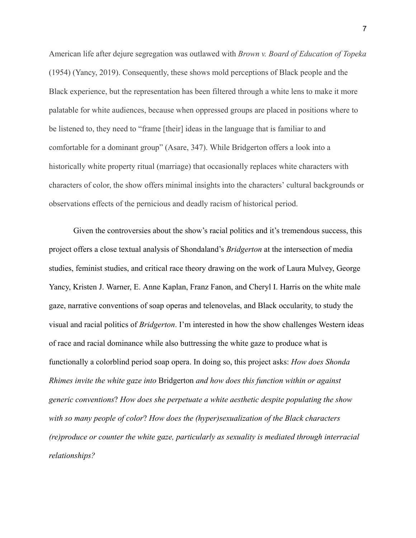American life after dejure segregation was outlawed with *Brown v. Board of Education of Topeka* (1954) (Yancy, 2019). Consequently, these shows mold perceptions of Black people and the Black experience, but the representation has been filtered through a white lens to make it more palatable for white audiences, because when oppressed groups are placed in positions where to be listened to, they need to "frame [their] ideas in the language that is familiar to and comfortable for a dominant group" (Asare, 347). While Bridgerton offers a look into a historically white property ritual (marriage) that occasionally replaces white characters with characters of color, the show offers minimal insights into the characters' cultural backgrounds or observations effects of the pernicious and deadly racism of historical period.

Given the controversies about the show's racial politics and it's tremendous success, this project offers a close textual analysis of Shondaland's *Bridgerton* at the intersection of media studies, feminist studies, and critical race theory drawing on the work of Laura Mulvey, George Yancy, Kristen J. Warner, E. Anne Kaplan, Franz Fanon, and Cheryl I. Harris on the white male gaze, narrative conventions of soap operas and telenovelas, and Black occularity, to study the visual and racial politics of *Bridgerton*. I'm interested in how the show challenges Western ideas of race and racial dominance while also buttressing the white gaze to produce what is functionally a colorblind period soap opera. In doing so, this project asks: *How does Shonda Rhimes invite the white gaze into* Bridgerton *and how does this function within or against generic conventions*? *How does she perpetuate a white aesthetic despite populating the show with so many people of color*? *How does the (hyper)sexualization of the Black characters (re)produce or counter the white gaze, particularly as sexuality is mediated through interracial relationships?*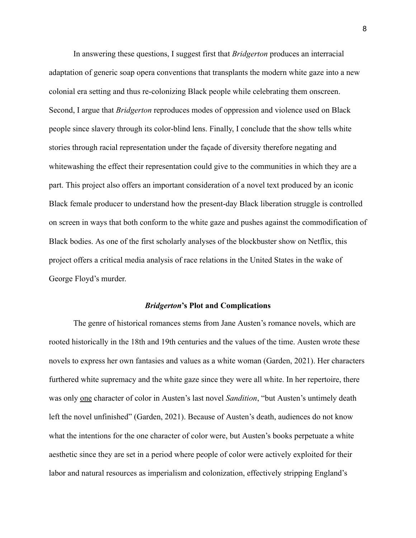In answering these questions, I suggest first that *Bridgerton* produces an interracial adaptation of generic soap opera conventions that transplants the modern white gaze into a new colonial era setting and thus re-colonizing Black people while celebrating them onscreen. Second, I argue that *Bridgerton* reproduces modes of oppression and violence used on Black people since slavery through its color-blind lens. Finally, I conclude that the show tells white stories through racial representation under the façade of diversity therefore negating and whitewashing the effect their representation could give to the communities in which they are a part. This project also offers an important consideration of a novel text produced by an iconic Black female producer to understand how the present-day Black liberation struggle is controlled on screen in ways that both conform to the white gaze and pushes against the commodification of Black bodies. As one of the first scholarly analyses of the blockbuster show on Netflix, this project offers a critical media analysis of race relations in the United States in the wake of George Floyd's murder.

#### *Bridgerton***'s Plot and Complications**

The genre of historical romances stems from Jane Austen's romance novels, which are rooted historically in the 18th and 19th centuries and the values of the time. Austen wrote these novels to express her own fantasies and values as a white woman (Garden, 2021). Her characters furthered white supremacy and the white gaze since they were all white. In her repertoire, there was only one character of color in Austen's last novel *Sandition*, "but Austen's untimely death left the novel unfinished" (Garden, 2021). Because of Austen's death, audiences do not know what the intentions for the one character of color were, but Austen's books perpetuate a white aesthetic since they are set in a period where people of color were actively exploited for their labor and natural resources as imperialism and colonization, effectively stripping England's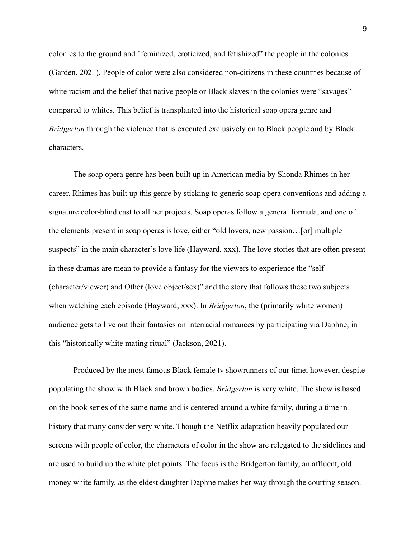colonies to the ground and "feminized, eroticized, and fetishized" the people in the colonies (Garden, 2021). People of color were also considered non-citizens in these countries because of white racism and the belief that native people or Black slaves in the colonies were "savages" compared to whites. This belief is transplanted into the historical soap opera genre and *Bridgerton* through the violence that is executed exclusively on to Black people and by Black characters.

The soap opera genre has been built up in American media by Shonda Rhimes in her career. Rhimes has built up this genre by sticking to generic soap opera conventions and adding a signature color-blind cast to all her projects. Soap operas follow a general formula, and one of the elements present in soap operas is love, either "old lovers, new passion…[or] multiple suspects" in the main character's love life (Hayward, xxx). The love stories that are often present in these dramas are mean to provide a fantasy for the viewers to experience the "self (character/viewer) and Other (love object/sex)" and the story that follows these two subjects when watching each episode (Hayward, xxx). In *Bridgerton*, the (primarily white women) audience gets to live out their fantasies on interracial romances by participating via Daphne, in this "historically white mating ritual" (Jackson, 2021).

Produced by the most famous Black female tv showrunners of our time; however, despite populating the show with Black and brown bodies, *Bridgerton* is very white. The show is based on the book series of the same name and is centered around a white family, during a time in history that many consider very white. Though the Netflix adaptation heavily populated our screens with people of color, the characters of color in the show are relegated to the sidelines and are used to build up the white plot points. The focus is the Bridgerton family, an affluent, old money white family, as the eldest daughter Daphne makes her way through the courting season.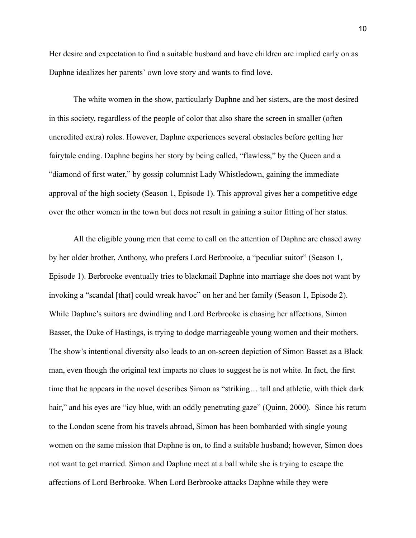Her desire and expectation to find a suitable husband and have children are implied early on as Daphne idealizes her parents' own love story and wants to find love.

The white women in the show, particularly Daphne and her sisters, are the most desired in this society, regardless of the people of color that also share the screen in smaller (often uncredited extra) roles. However, Daphne experiences several obstacles before getting her fairytale ending. Daphne begins her story by being called, "flawless," by the Queen and a "diamond of first water," by gossip columnist Lady Whistledown, gaining the immediate approval of the high society (Season 1, Episode 1). This approval gives her a competitive edge over the other women in the town but does not result in gaining a suitor fitting of her status.

All the eligible young men that come to call on the attention of Daphne are chased away by her older brother, Anthony, who prefers Lord Berbrooke, a "peculiar suitor" (Season 1, Episode 1). Berbrooke eventually tries to blackmail Daphne into marriage she does not want by invoking a "scandal [that] could wreak havoc" on her and her family (Season 1, Episode 2). While Daphne's suitors are dwindling and Lord Berbrooke is chasing her affections, Simon Basset, the Duke of Hastings, is trying to dodge marriageable young women and their mothers. The show's intentional diversity also leads to an on-screen depiction of Simon Basset as a Black man, even though the original text imparts no clues to suggest he is not white. In fact, the first time that he appears in the novel describes Simon as "striking… tall and athletic, with thick dark hair," and his eyes are "icy blue, with an oddly penetrating gaze" (Quinn, 2000). Since his return to the London scene from his travels abroad, Simon has been bombarded with single young women on the same mission that Daphne is on, to find a suitable husband; however, Simon does not want to get married. Simon and Daphne meet at a ball while she is trying to escape the affections of Lord Berbrooke. When Lord Berbrooke attacks Daphne while they were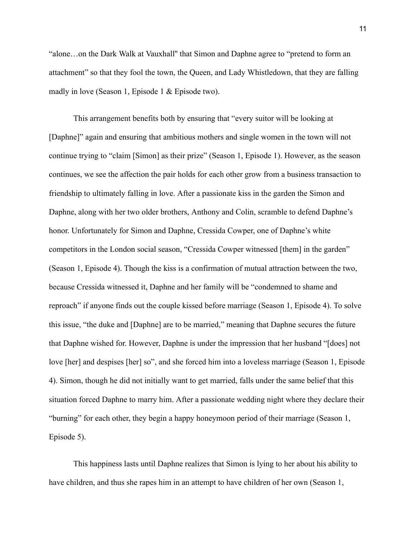"alone…on the Dark Walk at Vauxhall'' that Simon and Daphne agree to "pretend to form an attachment" so that they fool the town, the Queen, and Lady Whistledown, that they are falling madly in love (Season 1, Episode 1 & Episode two).

This arrangement benefits both by ensuring that "every suitor will be looking at [Daphne]" again and ensuring that ambitious mothers and single women in the town will not continue trying to "claim [Simon] as their prize" (Season 1, Episode 1). However, as the season continues, we see the affection the pair holds for each other grow from a business transaction to friendship to ultimately falling in love. After a passionate kiss in the garden the Simon and Daphne, along with her two older brothers, Anthony and Colin, scramble to defend Daphne's honor. Unfortunately for Simon and Daphne, Cressida Cowper, one of Daphne's white competitors in the London social season, "Cressida Cowper witnessed [them] in the garden" (Season 1, Episode 4). Though the kiss is a confirmation of mutual attraction between the two, because Cressida witnessed it, Daphne and her family will be "condemned to shame and reproach" if anyone finds out the couple kissed before marriage (Season 1, Episode 4). To solve this issue, "the duke and [Daphne] are to be married," meaning that Daphne secures the future that Daphne wished for. However, Daphne is under the impression that her husband "[does] not love [her] and despises [her] so", and she forced him into a loveless marriage (Season 1, Episode 4). Simon, though he did not initially want to get married, falls under the same belief that this situation forced Daphne to marry him. After a passionate wedding night where they declare their "burning" for each other, they begin a happy honeymoon period of their marriage (Season 1, Episode 5).

This happiness lasts until Daphne realizes that Simon is lying to her about his ability to have children, and thus she rapes him in an attempt to have children of her own (Season 1,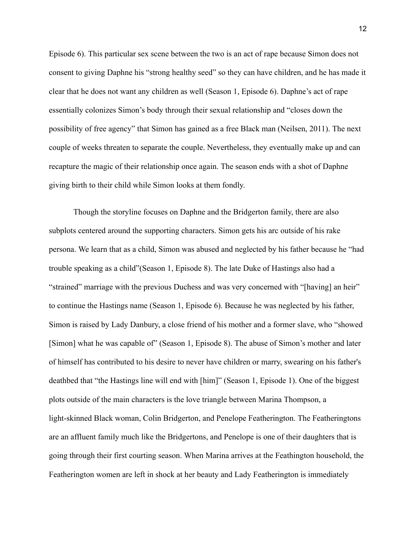Episode 6). This particular sex scene between the two is an act of rape because Simon does not consent to giving Daphne his "strong healthy seed" so they can have children, and he has made it clear that he does not want any children as well (Season 1, Episode 6). Daphne's act of rape essentially colonizes Simon's body through their sexual relationship and "closes down the possibility of free agency" that Simon has gained as a free Black man (Neilsen, 2011). The next couple of weeks threaten to separate the couple. Nevertheless, they eventually make up and can recapture the magic of their relationship once again. The season ends with a shot of Daphne giving birth to their child while Simon looks at them fondly.

Though the storyline focuses on Daphne and the Bridgerton family, there are also subplots centered around the supporting characters. Simon gets his arc outside of his rake persona. We learn that as a child, Simon was abused and neglected by his father because he "had trouble speaking as a child"(Season 1, Episode 8). The late Duke of Hastings also had a "strained" marriage with the previous Duchess and was very concerned with "[having] an heir" to continue the Hastings name (Season 1, Episode 6). Because he was neglected by his father, Simon is raised by Lady Danbury, a close friend of his mother and a former slave, who "showed [Simon] what he was capable of" (Season 1, Episode 8). The abuse of Simon's mother and later of himself has contributed to his desire to never have children or marry, swearing on his father's deathbed that "the Hastings line will end with [him]" (Season 1, Episode 1). One of the biggest plots outside of the main characters is the love triangle between Marina Thompson, a light-skinned Black woman, Colin Bridgerton, and Penelope Featherington. The Featheringtons are an affluent family much like the Bridgertons, and Penelope is one of their daughters that is going through their first courting season. When Marina arrives at the Feathington household, the Featherington women are left in shock at her beauty and Lady Featherington is immediately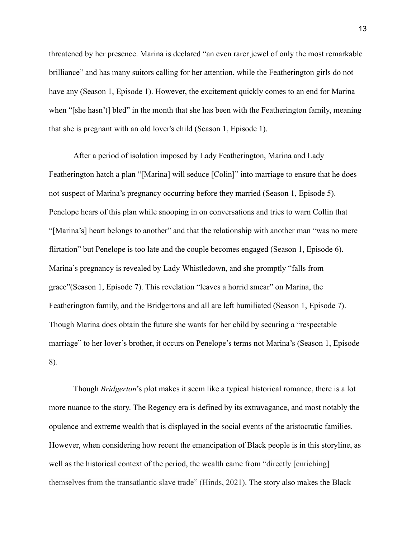threatened by her presence. Marina is declared "an even rarer jewel of only the most remarkable brilliance" and has many suitors calling for her attention, while the Featherington girls do not have any (Season 1, Episode 1). However, the excitement quickly comes to an end for Marina when "[she hasn't] bled" in the month that she has been with the Featherington family, meaning that she is pregnant with an old lover's child (Season 1, Episode 1).

After a period of isolation imposed by Lady Featherington, Marina and Lady Featherington hatch a plan "[Marina] will seduce [Colin]" into marriage to ensure that he does not suspect of Marina's pregnancy occurring before they married (Season 1, Episode 5). Penelope hears of this plan while snooping in on conversations and tries to warn Collin that "[Marina's] heart belongs to another" and that the relationship with another man "was no mere flirtation" but Penelope is too late and the couple becomes engaged (Season 1, Episode 6). Marina's pregnancy is revealed by Lady Whistledown, and she promptly "falls from grace"(Season 1, Episode 7). This revelation "leaves a horrid smear" on Marina, the Featherington family, and the Bridgertons and all are left humiliated (Season 1, Episode 7). Though Marina does obtain the future she wants for her child by securing a "respectable marriage" to her lover's brother, it occurs on Penelope's terms not Marina's (Season 1, Episode 8).

Though *Bridgerton*'s plot makes it seem like a typical historical romance, there is a lot more nuance to the story. The Regency era is defined by its extravagance, and most notably the opulence and extreme wealth that is displayed in the social events of the aristocratic families. However, when considering how recent the emancipation of Black people is in this storyline, as well as the historical context of the period, the wealth came from "directly [enriching] themselves from the transatlantic slave trade" (Hinds, 2021). The story also makes the Black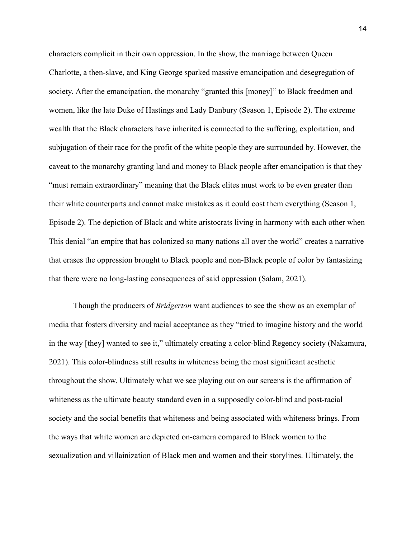characters complicit in their own oppression. In the show, the marriage between Queen Charlotte, a then-slave, and King George sparked massive emancipation and desegregation of society. After the emancipation, the monarchy "granted this [money]" to Black freedmen and women, like the late Duke of Hastings and Lady Danbury (Season 1, Episode 2). The extreme wealth that the Black characters have inherited is connected to the suffering, exploitation, and subjugation of their race for the profit of the white people they are surrounded by. However, the caveat to the monarchy granting land and money to Black people after emancipation is that they "must remain extraordinary" meaning that the Black elites must work to be even greater than their white counterparts and cannot make mistakes as it could cost them everything (Season 1, Episode 2). The depiction of Black and white aristocrats living in harmony with each other when This denial "an empire that has colonized so many nations all over the world" creates a narrative that erases the oppression brought to Black people and non-Black people of color by fantasizing that there were no long-lasting consequences of said oppression (Salam, 2021).

Though the producers of *Bridgerton* want audiences to see the show as an exemplar of media that fosters diversity and racial acceptance as they "tried to imagine history and the world in the way [they] wanted to see it," ultimately creating a color-blind Regency society (Nakamura, 2021). This color-blindness still results in whiteness being the most significant aesthetic throughout the show. Ultimately what we see playing out on our screens is the affirmation of whiteness as the ultimate beauty standard even in a supposedly color-blind and post-racial society and the social benefits that whiteness and being associated with whiteness brings. From the ways that white women are depicted on-camera compared to Black women to the sexualization and villainization of Black men and women and their storylines. Ultimately, the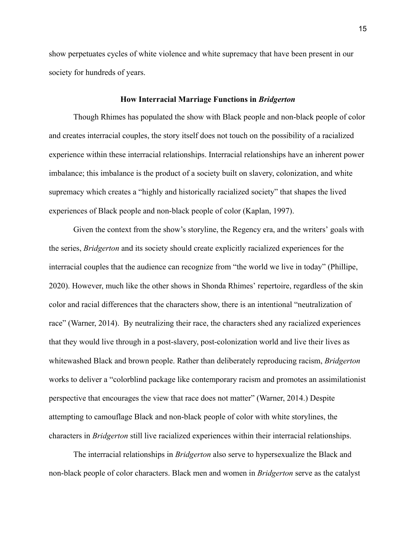show perpetuates cycles of white violence and white supremacy that have been present in our society for hundreds of years.

#### **How Interracial Marriage Functions in** *Bridgerton*

Though Rhimes has populated the show with Black people and non-black people of color and creates interracial couples, the story itself does not touch on the possibility of a racialized experience within these interracial relationships. Interracial relationships have an inherent power imbalance; this imbalance is the product of a society built on slavery, colonization, and white supremacy which creates a "highly and historically racialized society" that shapes the lived experiences of Black people and non-black people of color (Kaplan, 1997).

Given the context from the show's storyline, the Regency era, and the writers' goals with the series, *Bridgerton* and its society should create explicitly racialized experiences for the interracial couples that the audience can recognize from "the world we live in today" (Phillipe, 2020). However, much like the other shows in Shonda Rhimes' repertoire, regardless of the skin color and racial differences that the characters show, there is an intentional "neutralization of race" (Warner, 2014). By neutralizing their race, the characters shed any racialized experiences that they would live through in a post-slavery, post-colonization world and live their lives as whitewashed Black and brown people. Rather than deliberately reproducing racism, *Bridgerton* works to deliver a "colorblind package like contemporary racism and promotes an assimilationist perspective that encourages the view that race does not matter" (Warner, 2014.) Despite attempting to camouflage Black and non-black people of color with white storylines, the characters in *Bridgerton* still live racialized experiences within their interracial relationships.

The interracial relationships in *Bridgerton* also serve to hypersexualize the Black and non-black people of color characters. Black men and women in *Bridgerton* serve as the catalyst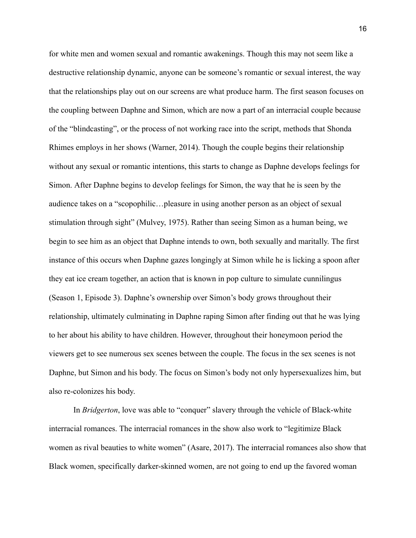for white men and women sexual and romantic awakenings. Though this may not seem like a destructive relationship dynamic, anyone can be someone's romantic or sexual interest, the way that the relationships play out on our screens are what produce harm. The first season focuses on the coupling between Daphne and Simon, which are now a part of an interracial couple because of the "blindcasting", or the process of not working race into the script, methods that Shonda Rhimes employs in her shows (Warner, 2014). Though the couple begins their relationship without any sexual or romantic intentions, this starts to change as Daphne develops feelings for Simon. After Daphne begins to develop feelings for Simon, the way that he is seen by the audience takes on a "scopophilic…pleasure in using another person as an object of sexual stimulation through sight" (Mulvey, 1975). Rather than seeing Simon as a human being, we begin to see him as an object that Daphne intends to own, both sexually and maritally. The first instance of this occurs when Daphne gazes longingly at Simon while he is licking a spoon after they eat ice cream together, an action that is known in pop culture to simulate cunnilingus (Season 1, Episode 3). Daphne's ownership over Simon's body grows throughout their relationship, ultimately culminating in Daphne raping Simon after finding out that he was lying to her about his ability to have children. However, throughout their honeymoon period the viewers get to see numerous sex scenes between the couple. The focus in the sex scenes is not Daphne, but Simon and his body. The focus on Simon's body not only hypersexualizes him, but also re-colonizes his body.

In *Bridgerton*, love was able to "conquer" slavery through the vehicle of Black-white interracial romances. The interracial romances in the show also work to "legitimize Black women as rival beauties to white women" (Asare, 2017). The interracial romances also show that Black women, specifically darker-skinned women, are not going to end up the favored woman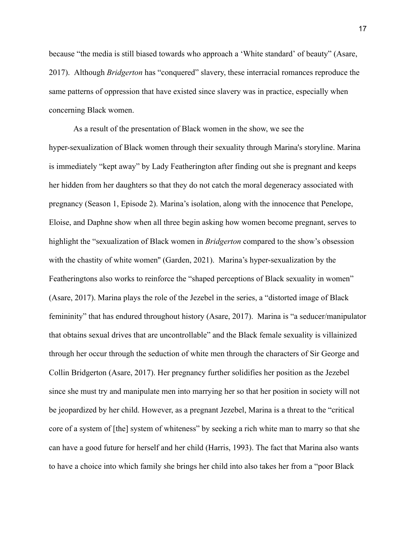because "the media is still biased towards who approach a 'White standard' of beauty" (Asare, 2017). Although *Bridgerton* has "conquered" slavery, these interracial romances reproduce the same patterns of oppression that have existed since slavery was in practice, especially when concerning Black women.

As a result of the presentation of Black women in the show, we see the hyper-sexualization of Black women through their sexuality through Marina's storyline. Marina is immediately "kept away" by Lady Featherington after finding out she is pregnant and keeps her hidden from her daughters so that they do not catch the moral degeneracy associated with pregnancy (Season 1, Episode 2). Marina's isolation, along with the innocence that Penelope, Eloise, and Daphne show when all three begin asking how women become pregnant, serves to highlight the "sexualization of Black women in *Bridgerton* compared to the show's obsession with the chastity of white women'' (Garden, 2021). Marina's hyper-sexualization by the Featheringtons also works to reinforce the "shaped perceptions of Black sexuality in women" (Asare, 2017). Marina plays the role of the Jezebel in the series, a "distorted image of Black femininity" that has endured throughout history (Asare, 2017). Marina is "a seducer/manipulator that obtains sexual drives that are uncontrollable" and the Black female sexuality is villainized through her occur through the seduction of white men through the characters of Sir George and Collin Bridgerton (Asare, 2017). Her pregnancy further solidifies her position as the Jezebel since she must try and manipulate men into marrying her so that her position in society will not be jeopardized by her child. However, as a pregnant Jezebel, Marina is a threat to the "critical core of a system of [the] system of whiteness" by seeking a rich white man to marry so that she can have a good future for herself and her child (Harris, 1993). The fact that Marina also wants to have a choice into which family she brings her child into also takes her from a "poor Black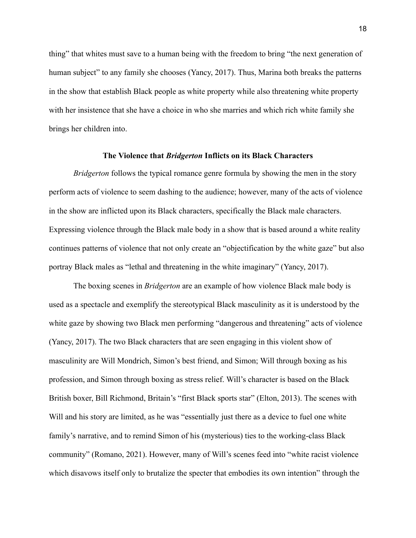thing" that whites must save to a human being with the freedom to bring "the next generation of human subject" to any family she chooses (Yancy, 2017). Thus, Marina both breaks the patterns in the show that establish Black people as white property while also threatening white property with her insistence that she have a choice in who she marries and which rich white family she brings her children into.

#### **The Violence that** *Bridgerton* **Inflicts on its Black Characters**

*Bridgerton* follows the typical romance genre formula by showing the men in the story perform acts of violence to seem dashing to the audience; however, many of the acts of violence in the show are inflicted upon its Black characters, specifically the Black male characters. Expressing violence through the Black male body in a show that is based around a white reality continues patterns of violence that not only create an "objectification by the white gaze" but also portray Black males as "lethal and threatening in the white imaginary" (Yancy, 2017).

The boxing scenes in *Bridgerton* are an example of how violence Black male body is used as a spectacle and exemplify the stereotypical Black masculinity as it is understood by the white gaze by showing two Black men performing "dangerous and threatening" acts of violence (Yancy, 2017). The two Black characters that are seen engaging in this violent show of masculinity are Will Mondrich, Simon's best friend, and Simon; Will through boxing as his profession, and Simon through boxing as stress relief. Will's character is based on the Black British boxer, Bill Richmond, Britain's "first Black sports star" (Elton, 2013). The scenes with Will and his story are limited, as he was "essentially just there as a device to fuel one white family's narrative, and to remind Simon of his (mysterious) ties to the working-class Black community" (Romano, 2021). However, many of Will's scenes feed into "white racist violence which disavows itself only to brutalize the specter that embodies its own intention" through the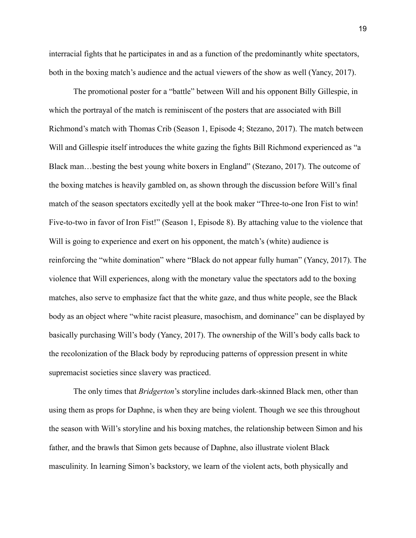interracial fights that he participates in and as a function of the predominantly white spectators, both in the boxing match's audience and the actual viewers of the show as well (Yancy, 2017).

The promotional poster for a "battle" between Will and his opponent Billy Gillespie, in which the portrayal of the match is reminiscent of the posters that are associated with Bill Richmond's match with Thomas Crib (Season 1, Episode 4; Stezano, 2017). The match between Will and Gillespie itself introduces the white gazing the fights Bill Richmond experienced as "a Black man…besting the best young white boxers in England" (Stezano, 2017). The outcome of the boxing matches is heavily gambled on, as shown through the discussion before Will's final match of the season spectators excitedly yell at the book maker "Three-to-one Iron Fist to win! Five-to-two in favor of Iron Fist!" (Season 1, Episode 8). By attaching value to the violence that Will is going to experience and exert on his opponent, the match's (white) audience is reinforcing the "white domination" where "Black do not appear fully human" (Yancy, 2017). The violence that Will experiences, along with the monetary value the spectators add to the boxing matches, also serve to emphasize fact that the white gaze, and thus white people, see the Black body as an object where "white racist pleasure, masochism, and dominance" can be displayed by basically purchasing Will's body (Yancy, 2017). The ownership of the Will's body calls back to the recolonization of the Black body by reproducing patterns of oppression present in white supremacist societies since slavery was practiced.

The only times that *Bridgerton*'s storyline includes dark-skinned Black men, other than using them as props for Daphne, is when they are being violent. Though we see this throughout the season with Will's storyline and his boxing matches, the relationship between Simon and his father, and the brawls that Simon gets because of Daphne, also illustrate violent Black masculinity. In learning Simon's backstory, we learn of the violent acts, both physically and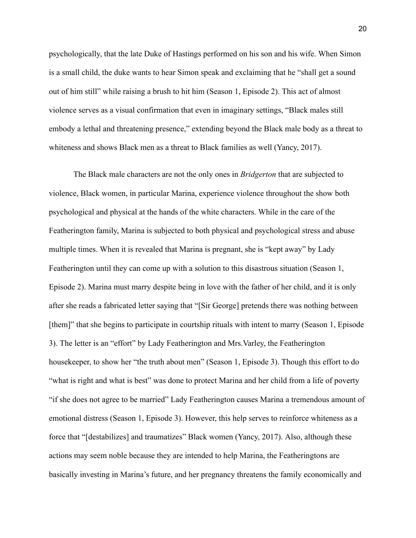psychologically, that the late Duke of Hastings performed on his son and his wife. When Simon is a small child, the duke wants to hear Simon speak and exclaiming that he "shall get a sound out of him still" while raising a brush to hit him (Season 1, Episode 2). This act of almost violence serves as a visual confirmation that even in imaginary settings, "Black males still embody a lethal and threatening presence," extending beyond the Black male body as a threat to whiteness and shows Black men as a threat to Black families as well (Yancy, 2017).

The Black male characters are not the only ones in *Bridgerton* that are subjected to violence, Black women, in particular Marina, experience violence throughout the show both psychological and physical at the hands of the white characters. While in the care of the Featherington family, Marina is subjected to both physical and psychological stress and abuse multiple times. When it is revealed that Marina is pregnant, she is "kept away" by Lady Featherington until they can come up with a solution to this disastrous situation (Season 1, Episode 2). Marina must marry despite being in love with the father of her child, and it is only after she reads a fabricated letter saying that "[Sir George] pretends there was nothing between [them]" that she begins to participate in courtship rituals with intent to marry (Season 1, Episode 3). The letter is an "effort" by Lady Featherington and Mrs.Varley, the Featherington housekeeper, to show her "the truth about men" (Season 1, Episode 3). Though this effort to do "what is right and what is best" was done to protect Marina and her child from a life of poverty "if she does not agree to be married" Lady Featherington causes Marina a tremendous amount of emotional distress (Season 1, Episode 3). However, this help serves to reinforce whiteness as a force that "[destabilizes] and traumatizes" Black women (Yancy, 2017). Also, although these actions may seem noble because they are intended to help Marina, the Featheringtons are basically investing in Marina's future, and her pregnancy threatens the family economically and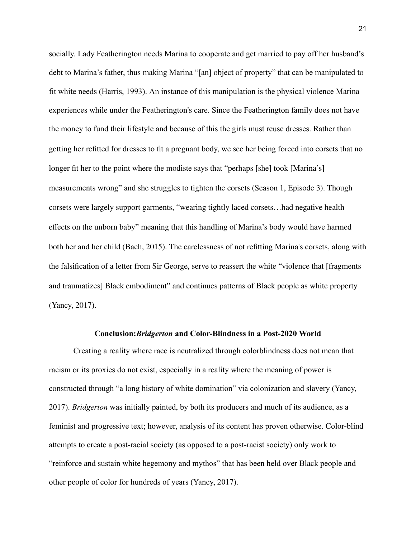socially. Lady Featherington needs Marina to cooperate and get married to pay off her husband's debt to Marina's father, thus making Marina "[an] object of property" that can be manipulated to fit white needs (Harris, 1993). An instance of this manipulation is the physical violence Marina experiences while under the Featherington's care. Since the Featherington family does not have the money to fund their lifestyle and because of this the girls must reuse dresses. Rather than getting her refitted for dresses to fit a pregnant body, we see her being forced into corsets that no longer fit her to the point where the modiste says that "perhaps [she] took [Marina's] measurements wrong" and she struggles to tighten the corsets (Season 1, Episode 3). Though corsets were largely support garments, "wearing tightly laced corsets…had negative health effects on the unborn baby" meaning that this handling of Marina's body would have harmed both her and her child (Bach, 2015). The carelessness of not refitting Marina's corsets, along with the falsification of a letter from Sir George, serve to reassert the white "violence that [fragments and traumatizes] Black embodiment" and continues patterns of Black people as white property (Yancy, 2017).

#### **Conclusion:***Bridgerton* **and Color-Blindness in a Post-2020 World**

Creating a reality where race is neutralized through colorblindness does not mean that racism or its proxies do not exist, especially in a reality where the meaning of power is constructed through "a long history of white domination" via colonization and slavery (Yancy, 2017). *Bridgerton* was initially painted, by both its producers and much of its audience, as a feminist and progressive text; however, analysis of its content has proven otherwise. Color-blind attempts to create a post-racial society (as opposed to a post-racist society) only work to "reinforce and sustain white hegemony and mythos" that has been held over Black people and other people of color for hundreds of years (Yancy, 2017).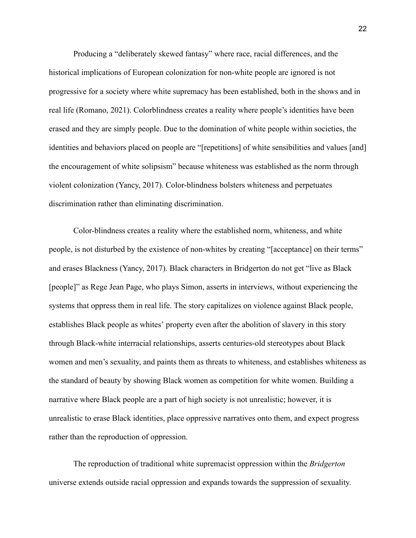Producing a "deliberately skewed fantasy" where race, racial differences, and the historical implications of European colonization for non-white people are ignored is not progressive for a society where white supremacy has been established, both in the shows and in real life (Romano, 2021). Colorblindness creates a reality where people's identities have been erased and they are simply people. Due to the domination of white people within societies, the identities and behaviors placed on people are "[repetitions] of white sensibilities and values [and] the encouragement of white solipsism" because whiteness was established as the norm through violent colonization (Yancy, 2017). Color-blindness bolsters whiteness and perpetuates discrimination rather than eliminating discrimination.

Color-blindness creates a reality where the established norm, whiteness, and white people, is not disturbed by the existence of non-whites by creating "[acceptance] on their terms" and erases Blackness (Yancy, 2017). Black characters in Bridgerton do not get "live as Black [people]" as Rege Jean Page, who plays Simon, asserts in interviews, without experiencing the systems that oppress them in real life. The story capitalizes on violence against Black people, establishes Black people as whites' property even after the abolition of slavery in this story through Black-white interracial relationships, asserts centuries-old stereotypes about Black women and men's sexuality, and paints them as threats to whiteness, and establishes whiteness as the standard of beauty by showing Black women as competition for white women. Building a narrative where Black people are a part of high society is not unrealistic; however, it is unrealistic to erase Black identities, place oppressive narratives onto them, and expect progress rather than the reproduction of oppression.

The reproduction of traditional white supremacist oppression within the *Bridgerton* universe extends outside racial oppression and expands towards the suppression of sexuality.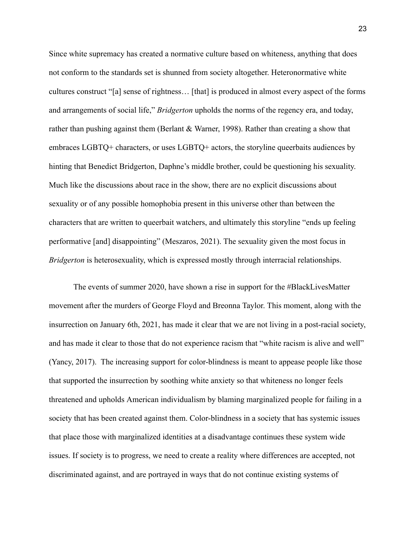Since white supremacy has created a normative culture based on whiteness, anything that does not conform to the standards set is shunned from society altogether. Heteronormative white cultures construct "[a] sense of rightness… [that] is produced in almost every aspect of the forms and arrangements of social life," *Bridgerton* upholds the norms of the regency era, and today, rather than pushing against them (Berlant  $&$  Warner, 1998). Rather than creating a show that embraces LGBTQ+ characters, or uses LGBTQ+ actors, the storyline queerbaits audiences by hinting that Benedict Bridgerton, Daphne's middle brother, could be questioning his sexuality. Much like the discussions about race in the show, there are no explicit discussions about sexuality or of any possible homophobia present in this universe other than between the characters that are written to queerbait watchers, and ultimately this storyline "ends up feeling performative [and] disappointing" (Meszaros, 2021). The sexuality given the most focus in *Bridgerton* is heterosexuality, which is expressed mostly through interracial relationships.

The events of summer 2020, have shown a rise in support for the #BlackLivesMatter movement after the murders of George Floyd and Breonna Taylor. This moment, along with the insurrection on January 6th, 2021, has made it clear that we are not living in a post-racial society, and has made it clear to those that do not experience racism that "white racism is alive and well" (Yancy, 2017). The increasing support for color-blindness is meant to appease people like those that supported the insurrection by soothing white anxiety so that whiteness no longer feels threatened and upholds American individualism by blaming marginalized people for failing in a society that has been created against them. Color-blindness in a society that has systemic issues that place those with marginalized identities at a disadvantage continues these system wide issues. If society is to progress, we need to create a reality where differences are accepted, not discriminated against, and are portrayed in ways that do not continue existing systems of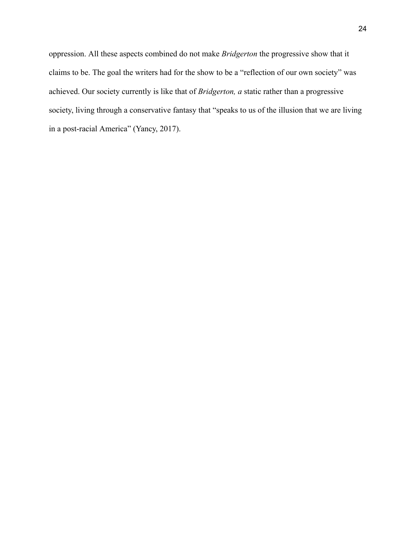oppression. All these aspects combined do not make *Bridgerton* the progressive show that it claims to be. The goal the writers had for the show to be a "reflection of our own society" was achieved. Our society currently is like that of *Bridgerton, a* static rather than a progressive society, living through a conservative fantasy that "speaks to us of the illusion that we are living in a post-racial America" (Yancy, 2017).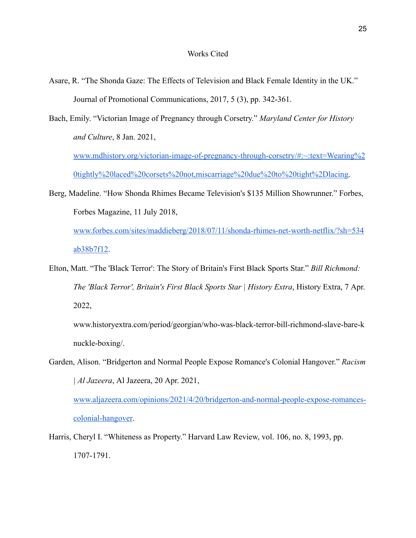- Asare, R. "The Shonda Gaze: The Effects of Television and Black Female Identity in the UK." Journal of Promotional Communications, 2017, 5 (3), pp. 342-361.
- Bach, Emily. "Victorian Image of Pregnancy through Corsetry." *Maryland Center for History and Culture*, 8 Jan. 2021,

[www.mdhistory.org/victorian-image-of-pregnancy-through-corsetry/#:~:text=Wearing%2](http://www.mdhistory.org/victorian-image-of-pregnancy-through-corsetry/#:~:text=Wearing%20tightly%20laced%20corsets%20not,miscarriage%20due%20to%20tight%2Dlacing) [0tightly%20laced%20corsets%20not,miscarriage%20due%20to%20tight%2Dlacing.](http://www.mdhistory.org/victorian-image-of-pregnancy-through-corsetry/#:~:text=Wearing%20tightly%20laced%20corsets%20not,miscarriage%20due%20to%20tight%2Dlacing)

Berg, Madeline. "How Shonda Rhimes Became Television's \$135 Million Showrunner." Forbes, Forbes Magazine, 11 July 2018,

[www.forbes.com/sites/maddieberg/2018/07/11/shonda-rhimes-net-worth-netflix/?sh=534](http://www.forbes.com/sites/maddieberg/2018/07/11/shonda-rhimes-net-worth-netflix/?sh=534ab38b7f12) [ab38b7f12](http://www.forbes.com/sites/maddieberg/2018/07/11/shonda-rhimes-net-worth-netflix/?sh=534ab38b7f12).

Elton, Matt. "The 'Black Terror': The Story of Britain's First Black Sports Star." *Bill Richmond: The 'Black Terror', Britain's First Black Sports Star | History Extra*, History Extra, 7 Apr. 2022,

www.historyextra.com/period/georgian/who-was-black-terror-bill-richmond-slave-bare-k nuckle-boxing/.

Garden, Alison. "Bridgerton and Normal People Expose Romance's Colonial Hangover." *Racism | Al Jazeera*, Al Jazeera, 20 Apr. 2021,

[www.aljazeera.com/opinions/2021/4/20/bridgerton-and-normal-people-expose-romances](http://www.aljazeera.com/opinions/2021/4/20/bridgerton-and-normal-people-expose-romances-colonial-hangover)[colonial-hangover](http://www.aljazeera.com/opinions/2021/4/20/bridgerton-and-normal-people-expose-romances-colonial-hangover).

Harris, Cheryl I. "Whiteness as Property." Harvard Law Review, vol. 106, no. 8, 1993, pp. 1707-1791.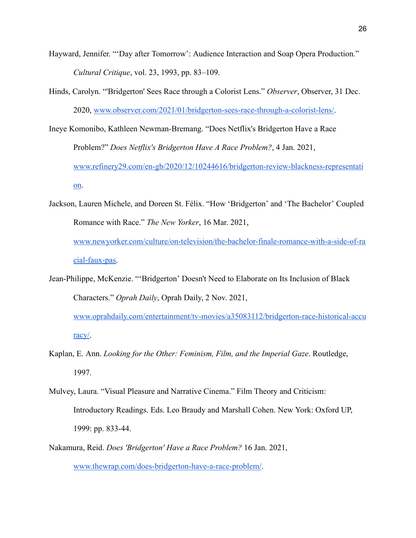- Hayward, Jennifer. "'Day after Tomorrow': Audience Interaction and Soap Opera Production." *Cultural Critique*, vol. 23, 1993, pp. 83–109.
- Hinds, Carolyn. "'Bridgerton' Sees Race through a Colorist Lens." *Observer*, Observer, 31 Dec. 2020, [www.observer.com/2021/01/bridgerton-sees-race-through-a-colorist-lens/.](http://www.observer.com/2021/01/bridgerton-sees-race-through-a-colorist-lens/)
- Ineye Komonibo, Kathleen Newman-Bremang. "Does Netflix's Bridgerton Have a Race Problem?" *Does Netflix's Bridgerton Have A Race Problem?*, 4 Jan. 2021, [www.refinery29.com/en-gb/2020/12/10244616/bridgerton-review-blackness-representati](http://www.refinery29.com/en-gb/2020/12/10244616/bridgerton-review-blackness-representation) [on](http://www.refinery29.com/en-gb/2020/12/10244616/bridgerton-review-blackness-representation).
- Jackson, Lauren Michele, and Doreen St. Félix. "How 'Bridgerton' and 'The Bachelor' Coupled Romance with Race." *The New Yorker*, 16 Mar. 2021, [www.newyorker.com/culture/on-television/the-bachelor-finale-romance-with-a-side-of-ra](http://www.newyorker.com/culture/on-television/the-bachelor-finale-romance-with-a-side-of-racial-faux-pas) [cial-faux-pas.](http://www.newyorker.com/culture/on-television/the-bachelor-finale-romance-with-a-side-of-racial-faux-pas)
- Jean-Philippe, McKenzie. "'Bridgerton' Doesn't Need to Elaborate on Its Inclusion of Black Characters." *Oprah Daily*, Oprah Daily, 2 Nov. 2021, [www.oprahdaily.com/entertainment/tv-movies/a35083112/bridgerton-race-historical-accu](http://www.oprahdaily.com/entertainment/tv-movies/a35083112/bridgerton-race-historical-accuracy/) [racy/.](http://www.oprahdaily.com/entertainment/tv-movies/a35083112/bridgerton-race-historical-accuracy/)
- Kaplan, E. Ann. *Looking for the Other: Feminism, Film, and the Imperial Gaze*. Routledge, 1997.
- Mulvey, Laura. "Visual Pleasure and Narrative Cinema." Film Theory and Criticism: Introductory Readings. Eds. Leo Braudy and Marshall Cohen. New York: Oxford UP, 1999: pp. 833-44.
- Nakamura, Reid. *Does 'Bridgerton' Have a Race Problem?* 16 Jan. 2021, [www.thewrap.com/does-bridgerton-have-a-race-problem/](http://www.thewrap.com/does-bridgerton-have-a-race-problem/).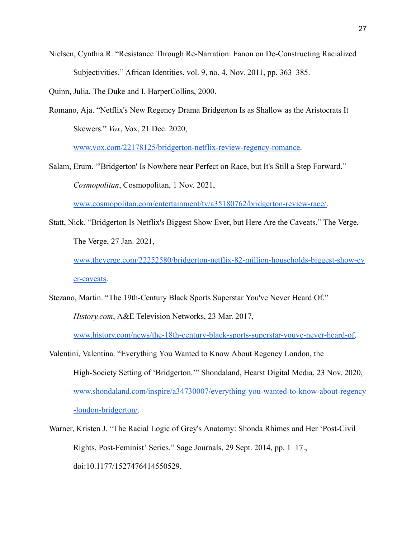Nielsen, Cynthia R. "Resistance Through Re-Narration: Fanon on De-Constructing Racialized Subjectivities." African Identities, vol. 9, no. 4, Nov. 2011, pp. 363–385.

Quinn, Julia. The Duke and I. HarperCollins, 2000.

Romano, Aja. "Netflix's New Regency Drama Bridgerton Is as Shallow as the Aristocrats It Skewers." *Vox*, Vox, 21 Dec. 2020,

[www.vox.com/22178125/bridgerton-netflix-review-regency-romance.](http://www.vox.com/22178125/bridgerton-netflix-review-regency-romance)

Salam, Erum. "'Bridgerton' Is Nowhere near Perfect on Race, but It's Still a Step Forward." *Cosmopolitan*, Cosmopolitan, 1 Nov. 2021,

[www.cosmopolitan.com/entertainment/tv/a35180762/bridgerton-review-race/.](http://www.cosmopolitan.com/entertainment/tv/a35180762/bridgerton-review-race/)

Statt, Nick. "Bridgerton Is Netflix's Biggest Show Ever, but Here Are the Caveats." The Verge, The Verge, 27 Jan. 2021,

[www.theverge.com/22252580/bridgerton-netflix-82-million-households-biggest-show-ev](http://www.theverge.com/22252580/bridgerton-netflix-82-million-households-biggest-show-ever-caveats) [er-caveats.](http://www.theverge.com/22252580/bridgerton-netflix-82-million-households-biggest-show-ever-caveats)

Stezano, Martin. "The 19th-Century Black Sports Superstar You've Never Heard Of."

*History.com*, A&E Television Networks, 23 Mar. 2017,

[www.history.com/news/the-18th-century-black-sports-superstar-youve-never-heard-of.](http://www.history.com/news/the-18th-century-black-sports-superstar-youve-never-heard-of)

- Valentini, Valentina. "Everything You Wanted to Know About Regency London, the High-Society Setting of 'Bridgerton.'" Shondaland, Hearst Digital Media, 23 Nov. 2020, [www.shondaland.com/inspire/a34730007/everything-you-wanted-to-know-about-regency](http://www.shondaland.com/inspire/a34730007/everything-you-wanted-to-know-about-regency-london-bridgerton/) [-london-bridgerton/](http://www.shondaland.com/inspire/a34730007/everything-you-wanted-to-know-about-regency-london-bridgerton/).
- Warner, Kristen J. "The Racial Logic of Grey's Anatomy: Shonda Rhimes and Her 'Post-Civil Rights, Post-Feminist' Series." Sage Journals, 29 Sept. 2014, pp. 1–17., doi:10.1177/1527476414550529.